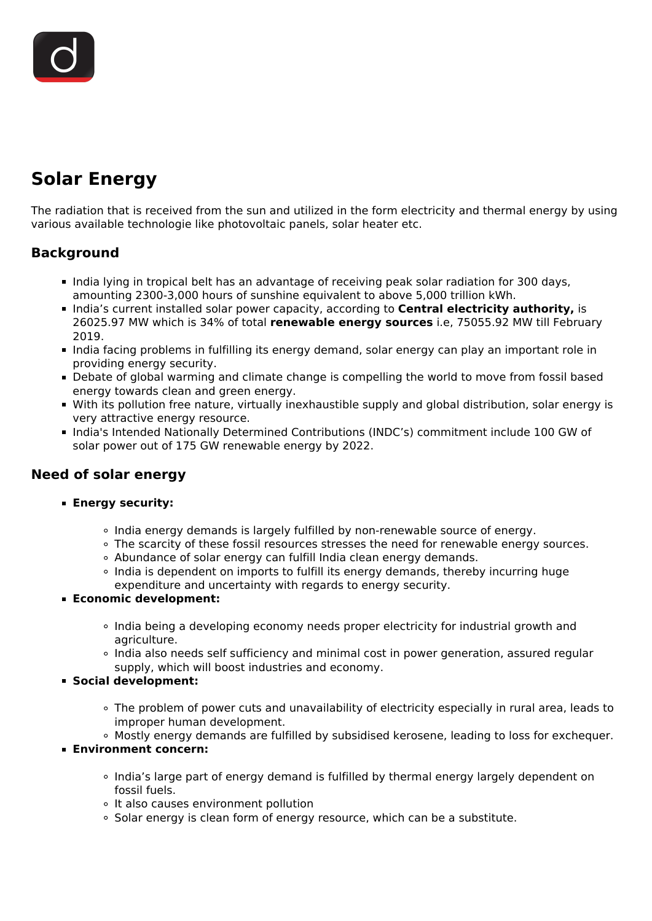# **Solar Energy**

The radiation that is received from the sun and utilized in the form electricity and thermal energy by using various available technologie like photovoltaic panels, solar heater etc.

## **Background**

- India lying in tropical belt has an advantage of receiving peak solar radiation for 300 days, amounting 2300-3,000 hours of sunshine equivalent to above 5,000 trillion kWh.
- **India's current installed solar power capacity, according to Central electricity authority, is** 26025.97 MW which is 34% of total **renewable energy sources** i.e, 75055.92 MW till February 2019.
- India facing problems in fulfilling its energy demand, solar energy can play an important role in providing energy security.
- Debate of global warming and climate change is compelling the world to move from fossil based energy towards clean and green energy.
- With its pollution free nature, virtually inexhaustible supply and global distribution, solar energy is very attractive energy resource.
- India's Intended Nationally Determined Contributions (INDC's) commitment include 100 GW of solar power out of 175 GW renewable energy by 2022.

## **Need of solar energy**

- **Energy security:**
	- India energy demands is largely fulfilled by non-renewable source of energy.
	- . The scarcity of these fossil resources stresses the need for renewable energy sources.
	- Abundance of solar energy can fulfill India clean energy demands.
	- $\circ$  India is dependent on imports to fulfill its energy demands, thereby incurring huge expenditure and uncertainty with regards to energy security.
- **Economic development:**
	- India being a developing economy needs proper electricity for industrial growth and agriculture.
	- o India also needs self sufficiency and minimal cost in power generation, assured regular supply, which will boost industries and economy.
- **Social development:**
	- o The problem of power cuts and unavailability of electricity especially in rural area, leads to improper human development.
	- Mostly energy demands are fulfilled by subsidised kerosene, leading to loss for exchequer.
- **Environment concern:**
	- India's large part of energy demand is fulfilled by thermal energy largely dependent on fossil fuels.
	- o It also causes environment pollution
	- Solar energy is clean form of energy resource, which can be a substitute.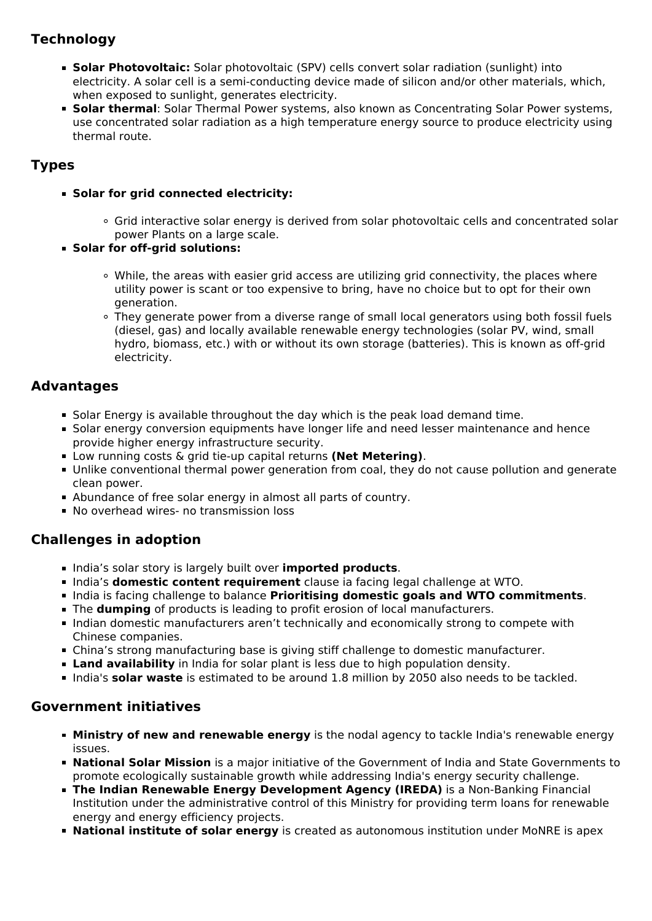# **Technology**

- **Solar Photovoltaic:** Solar photovoltaic (SPV) cells convert solar radiation (sunlight) into electricity. A solar cell is a semi-conducting device made of silicon and/or other materials, which, when exposed to sunlight, generates electricity.
- **Solar thermal**: Solar Thermal Power systems, also known as Concentrating Solar Power systems, use concentrated solar radiation as a high temperature energy source to produce electricity using thermal route.

## **Types**

- **Solar for grid connected electricity:**
	- Grid interactive solar energy is derived from solar photovoltaic cells and concentrated solar power Plants on a large scale.
- **Solar for off-grid solutions:** 
	- While, the areas with easier grid access are utilizing grid connectivity, the places where utility power is scant or too expensive to bring, have no choice but to opt for their own generation.
	- They generate power from a diverse range of small local generators using both fossil fuels (diesel, gas) and locally available renewable energy technologies (solar PV, wind, small hydro, biomass, etc.) with or without its own storage (batteries). This is known as off-grid electricity.

## **Advantages**

- **Solar Energy is available throughout the day which is the peak load demand time.**
- **Solar energy conversion equipments have longer life and need lesser maintenance and hence** provide higher energy infrastructure security.
- Low running costs & grid tie-up capital returns **(Net Metering)**.
- Unlike conventional thermal power generation from coal, they do not cause pollution and generate clean power.
- Abundance of free solar energy in almost all parts of country.
- No overhead wires- no transmission loss

## **Challenges in adoption**

- **India's solar story is largely built over imported products.**
- India's **domestic content requirement** clause ia facing legal challenge at WTO.
- India is facing challenge to balance **Prioritising domestic goals and WTO commitments**.
- The **dumping** of products is leading to profit erosion of local manufacturers.
- Indian domestic manufacturers aren't technically and economically strong to compete with Chinese companies.
- China's strong manufacturing base is giving stiff challenge to domestic manufacturer.
- **Land availability** in India for solar plant is less due to high population density.
- India's **solar waste** is estimated to be around 1.8 million by 2050 also needs to be tackled.

#### **Government initiatives**

- **Ministry of new and renewable energy** is the nodal agency to tackle India's renewable energy issues.
- **National Solar Mission** is a major initiative of the Government of India and State Governments to promote ecologically sustainable growth while addressing India's energy security challenge.
- **The Indian Renewable Energy Development Agency (IREDA)** is a Non-Banking Financial Institution under the administrative control of this Ministry for providing term loans for renewable energy and energy efficiency projects.
- **National institute of solar energy** is created as autonomous institution under MoNRE is apex